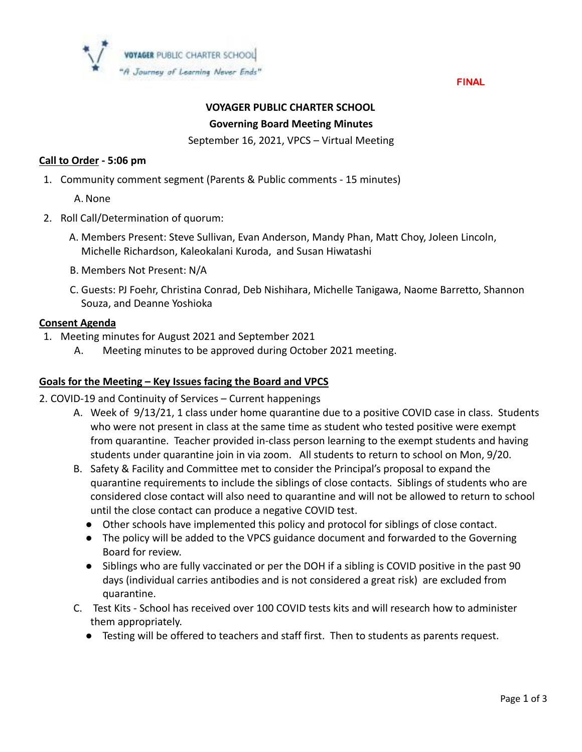

FINAL

# **VOYAGER PUBLIC CHARTER SCHOOL Governing Board Meeting Minutes**

September 16, 2021, VPCS – Virtual Meeting

# **Call to Order - 5:06 pm**

1. Community comment segment (Parents & Public comments - 15 minutes)

A. None

- 2. Roll Call/Determination of quorum:
	- A. Members Present: Steve Sullivan, Evan Anderson, Mandy Phan, Matt Choy, Joleen Lincoln, Michelle Richardson, Kaleokalani Kuroda, and Susan Hiwatashi
	- B. Members Not Present: N/A
	- C. Guests: PJ Foehr, Christina Conrad, Deb Nishihara, Michelle Tanigawa, Naome Barretto, Shannon Souza, and Deanne Yoshioka

#### **Consent Agenda**

- 1. Meeting minutes for August 2021 and September 2021
	- A. Meeting minutes to be approved during October 2021 meeting.

### **Goals for the Meeting – Key Issues facing the Board and VPCS**

- 2. COVID-19 and Continuity of Services Current happenings
	- A. Week of 9/13/21, 1 class under home quarantine due to a positive COVID case in class. Students who were not present in class at the same time as student who tested positive were exempt from quarantine. Teacher provided in-class person learning to the exempt students and having students under quarantine join in via zoom. All students to return to school on Mon, 9/20.
	- B. Safety & Facility and Committee met to consider the Principal's proposal to expand the quarantine requirements to include the siblings of close contacts. Siblings of students who are considered close contact will also need to quarantine and will not be allowed to return to school until the close contact can produce a negative COVID test.
		- Other schools have implemented this policy and protocol for siblings of close contact.
		- The policy will be added to the VPCS guidance document and forwarded to the Governing Board for review.
		- Siblings who are fully vaccinated or per the DOH if a sibling is COVID positive in the past 90 days (individual carries antibodies and is not considered a great risk) are excluded from quarantine.
	- C. Test Kits School has received over 100 COVID tests kits and will research how to administer them appropriately.
		- Testing will be offered to teachers and staff first. Then to students as parents request.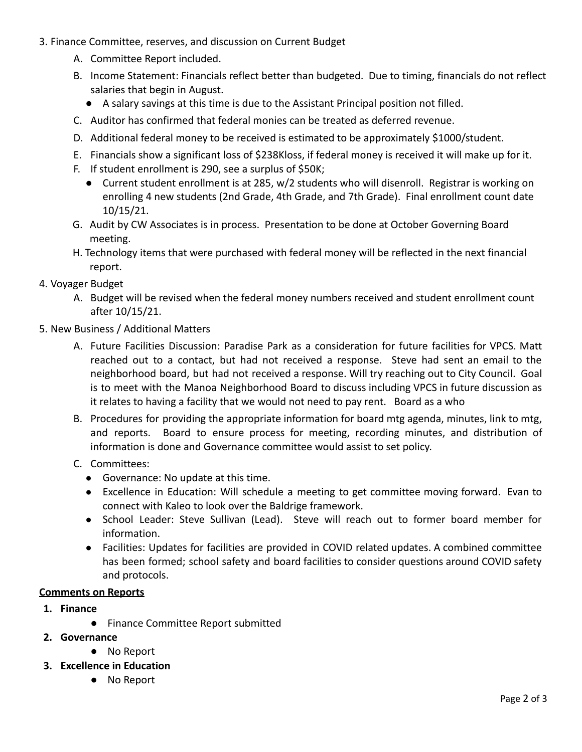- 3. Finance Committee, reserves, and discussion on Current Budget
	- A. Committee Report included.
	- B. Income Statement: Financials reflect better than budgeted. Due to timing, financials do not reflect salaries that begin in August.
		- A salary savings at this time is due to the Assistant Principal position not filled.
	- C. Auditor has confirmed that federal monies can be treated as deferred revenue.
	- D. Additional federal money to be received is estimated to be approximately \$1000/student.
	- E. Financials show a significant loss of \$238Kloss, if federal money is received it will make up for it.
	- F. If student enrollment is 290, see a surplus of \$50K;
		- Current student enrollment is at 285, w/2 students who will disenroll. Registrar is working on enrolling 4 new students (2nd Grade, 4th Grade, and 7th Grade). Final enrollment count date 10/15/21.
	- G. Audit by CW Associates is in process. Presentation to be done at October Governing Board meeting.
	- H. Technology items that were purchased with federal money will be reflected in the next financial report.
- 4. Voyager Budget
	- A. Budget will be revised when the federal money numbers received and student enrollment count after 10/15/21.
- 5. New Business / Additional Matters
	- A. Future Facilities Discussion: Paradise Park as a consideration for future facilities for VPCS. Matt reached out to a contact, but had not received a response. Steve had sent an email to the neighborhood board, but had not received a response. Will try reaching out to City Council. Goal is to meet with the Manoa Neighborhood Board to discuss including VPCS in future discussion as it relates to having a facility that we would not need to pay rent. Board as a who
	- B. Procedures for providing the appropriate information for board mtg agenda, minutes, link to mtg, and reports. Board to ensure process for meeting, recording minutes, and distribution of information is done and Governance committee would assist to set policy.
	- C. Committees:
		- Governance: No update at this time.
		- Excellence in Education: Will schedule a meeting to get committee moving forward. Evan to connect with Kaleo to look over the Baldrige framework.
		- School Leader: Steve Sullivan (Lead). Steve will reach out to former board member for information.
		- Facilities: Updates for facilities are provided in COVID related updates. A combined committee has been formed; school safety and board facilities to consider questions around COVID safety and protocols.

#### **Comments on Reports**

- **1. Finance**
	- Finance Committee Report submitted
- **2. Governance**
	- No Report
- **3. Excellence in Education**
	- No Report